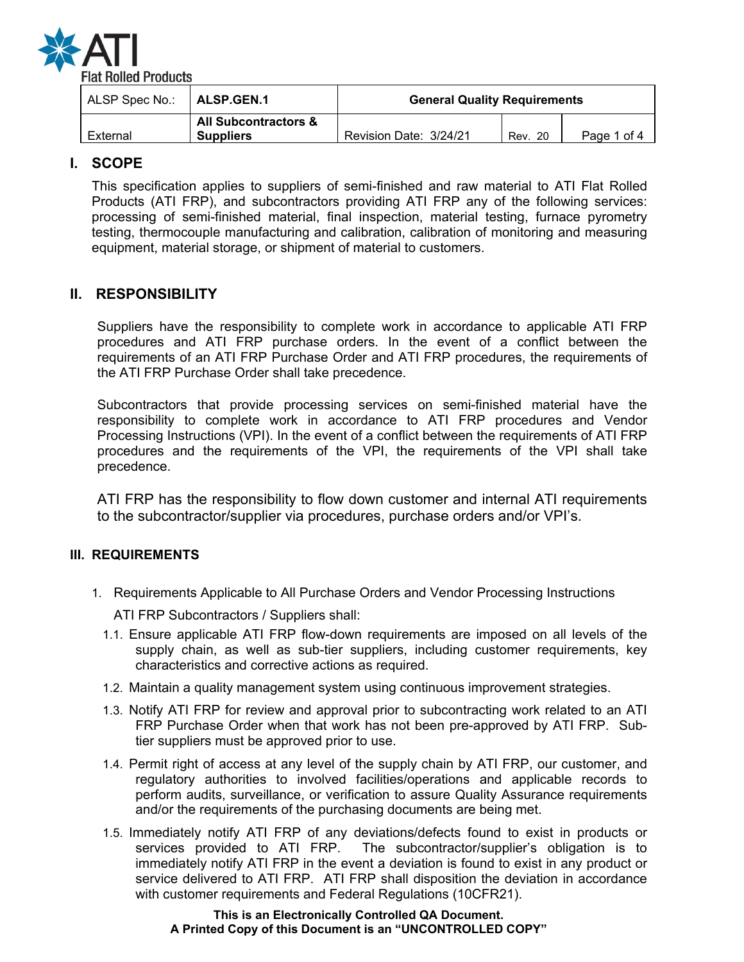

| ALSP Spec No.: | ALSP.GEN.1                                          | <b>General Quality Requirements</b> |         |             |
|----------------|-----------------------------------------------------|-------------------------------------|---------|-------------|
| External       | <b>All Subcontractors &amp;</b><br><b>Suppliers</b> | Revision Date: 3/24/21              | Rev. 20 | Page 1 of 4 |

# **I. SCOPE**

This specification applies to suppliers of semi-finished and raw material to ATI Flat Rolled Products (ATI FRP), and subcontractors providing ATI FRP any of the following services: processing of semi-finished material, final inspection, material testing, furnace pyrometry testing, thermocouple manufacturing and calibration, calibration of monitoring and measuring equipment, material storage, or shipment of material to customers.

# **II. RESPONSIBILITY**

Suppliers have the responsibility to complete work in accordance to applicable ATI FRP procedures and ATI FRP purchase orders. In the event of a conflict between the requirements of an ATI FRP Purchase Order and ATI FRP procedures, the requirements of the ATI FRP Purchase Order shall take precedence.

Subcontractors that provide processing services on semi-finished material have the responsibility to complete work in accordance to ATI FRP procedures and Vendor Processing Instructions (VPI). In the event of a conflict between the requirements of ATI FRP procedures and the requirements of the VPI, the requirements of the VPI shall take precedence.

ATI FRP has the responsibility to flow down customer and internal ATI requirements to the subcontractor/supplier via procedures, purchase orders and/or VPI's.

# **III. REQUIREMENTS**

1. Requirements Applicable to All Purchase Orders and Vendor Processing Instructions

ATI FRP Subcontractors / Suppliers shall:

- 1.1. Ensure applicable ATI FRP flow-down requirements are imposed on all levels of the supply chain, as well as sub-tier suppliers, including customer requirements, key characteristics and corrective actions as required.
- 1.2. Maintain a quality management system using continuous improvement strategies.
- 1.3. Notify ATI FRP for review and approval prior to subcontracting work related to an ATI FRP Purchase Order when that work has not been pre-approved by ATI FRP. Subtier suppliers must be approved prior to use.
- 1.4. Permit right of access at any level of the supply chain by ATI FRP, our customer, and regulatory authorities to involved facilities/operations and applicable records to perform audits, surveillance, or verification to assure Quality Assurance requirements and/or the requirements of the purchasing documents are being met.
- 1.5. Immediately notify ATI FRP of any deviations/defects found to exist in products or services provided to ATI FRP. The subcontractor/supplier's obligation is to immediately notify ATI FRP in the event a deviation is found to exist in any product or service delivered to ATI FRP. ATI FRP shall disposition the deviation in accordance with customer requirements and Federal Regulations (10CFR21).

### **This is an Electronically Controlled QA Document. A Printed Copy of this Document is an "UNCONTROLLED COPY"**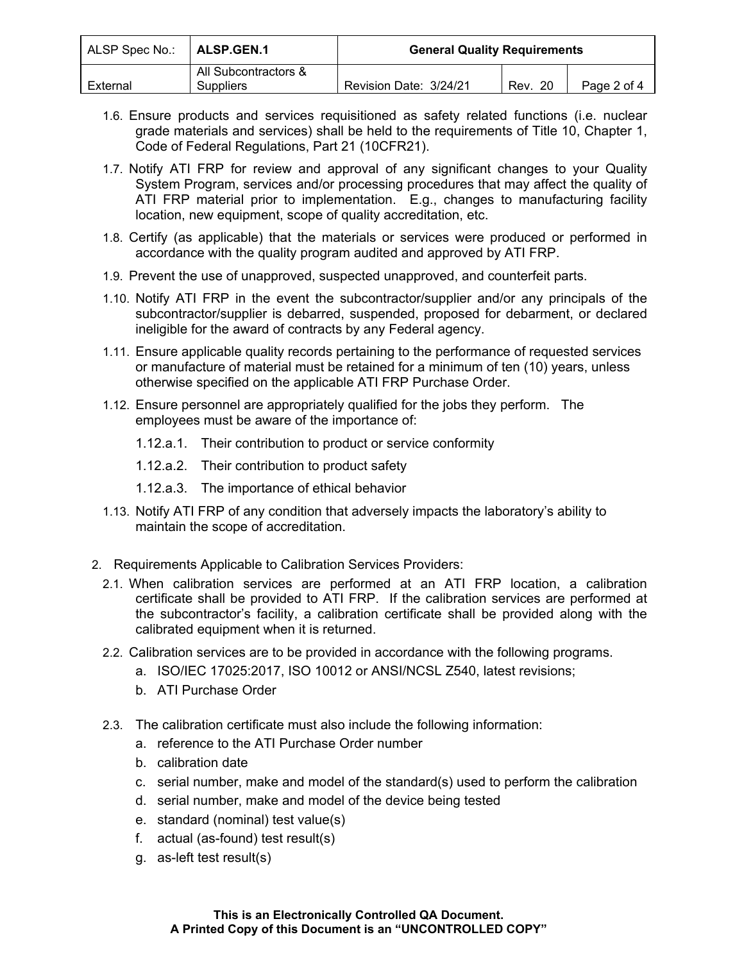| ALSP Spec No.: | <b>ALSP.GEN.1</b>                        | <b>General Quality Requirements</b> |             |             |
|----------------|------------------------------------------|-------------------------------------|-------------|-------------|
| External       | All Subcontractors &<br><b>Suppliers</b> | Revision Date: 3/24/21              | -20<br>Rev. | Page 2 of 4 |

- 1.6. Ensure products and services requisitioned as safety related functions (i.e. nuclear grade materials and services) shall be held to the requirements of Title 10, Chapter 1, Code of Federal Regulations, Part 21 (10CFR21).
- 1.7. Notify ATI FRP for review and approval of any significant changes to your Quality System Program, services and/or processing procedures that may affect the quality of ATI FRP material prior to implementation. E.g., changes to manufacturing facility location, new equipment, scope of quality accreditation, etc.
- 1.8. Certify (as applicable) that the materials or services were produced or performed in accordance with the quality program audited and approved by ATI FRP.
- 1.9. Prevent the use of unapproved, suspected unapproved, and counterfeit parts.
- 1.10. Notify ATI FRP in the event the subcontractor/supplier and/or any principals of the subcontractor/supplier is debarred, suspended, proposed for debarment, or declared ineligible for the award of contracts by any Federal agency.
- 1.11. Ensure applicable quality records pertaining to the performance of requested services or manufacture of material must be retained for a minimum of ten (10) years, unless otherwise specified on the applicable ATI FRP Purchase Order.
- 1.12. Ensure personnel are appropriately qualified for the jobs they perform. The employees must be aware of the importance of:
	- 1.12.a.1. Their contribution to product or service conformity
	- 1.12.a.2. Their contribution to product safety
	- 1.12.a.3. The importance of ethical behavior
- 1.13. Notify ATI FRP of any condition that adversely impacts the laboratory's ability to maintain the scope of accreditation.
- 2. Requirements Applicable to Calibration Services Providers:
	- 2.1. When calibration services are performed at an ATI FRP location, a calibration certificate shall be provided to ATI FRP. If the calibration services are performed at the subcontractor's facility, a calibration certificate shall be provided along with the calibrated equipment when it is returned.
	- 2.2. Calibration services are to be provided in accordance with the following programs.
		- a. ISO/IEC 17025:2017, ISO 10012 or ANSI/NCSL Z540, latest revisions;
		- b. ATI Purchase Order
	- 2.3. The calibration certificate must also include the following information:
		- a. reference to the ATI Purchase Order number
		- b. calibration date
		- c. serial number, make and model of the standard(s) used to perform the calibration
		- d. serial number, make and model of the device being tested
		- e. standard (nominal) test value(s)
		- f. actual (as-found) test result(s)
		- g. as-left test result(s)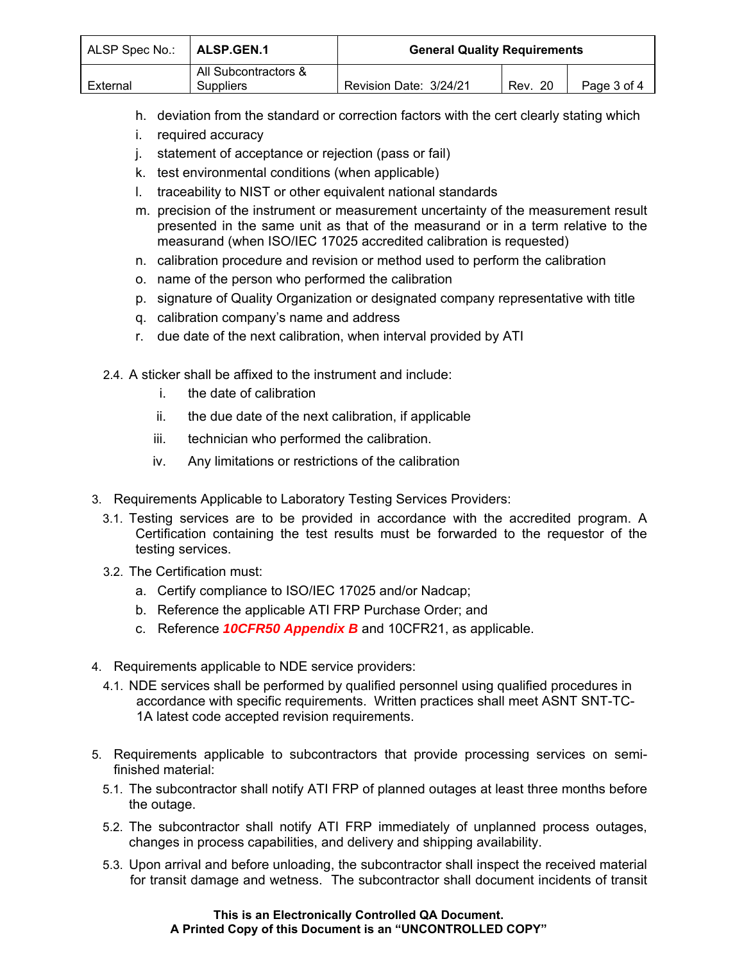| ALSP Spec No.: | ALSP.GEN.1                        | <b>General Quality Requirements</b> |         |             |
|----------------|-----------------------------------|-------------------------------------|---------|-------------|
| External       | All Subcontractors &<br>Suppliers | Revision Date: 3/24/21              | Rev. 20 | Page 3 of 4 |

- h. deviation from the standard or correction factors with the cert clearly stating which
- i. required accuracy
- j. statement of acceptance or rejection (pass or fail)
- k. test environmental conditions (when applicable)
- l. traceability to NIST or other equivalent national standards
- m. precision of the instrument or measurement uncertainty of the measurement result presented in the same unit as that of the measurand or in a term relative to the measurand (when ISO/IEC 17025 accredited calibration is requested)
- n. calibration procedure and revision or method used to perform the calibration
- o. name of the person who performed the calibration
- p. signature of Quality Organization or designated company representative with title
- q. calibration company's name and address
- r. due date of the next calibration, when interval provided by ATI
- 2.4. A sticker shall be affixed to the instrument and include:
	- i. the date of calibration
	- ii. the due date of the next calibration, if applicable
	- iii. technician who performed the calibration.
	- iv. Any limitations or restrictions of the calibration
- 3. Requirements Applicable to Laboratory Testing Services Providers:
	- 3.1. Testing services are to be provided in accordance with the accredited program. A Certification containing the test results must be forwarded to the requestor of the testing services.
	- 3.2. The Certification must:
		- a. Certify compliance to ISO/IEC 17025 and/or Nadcap;
		- b. Reference the applicable ATI FRP Purchase Order; and
		- c. Reference *10CFR50 Appendix B* and 10CFR21, as applicable.
- 4. Requirements applicable to NDE service providers:
	- 4.1. NDE services shall be performed by qualified personnel using qualified procedures in accordance with specific requirements. Written practices shall meet ASNT SNT-TC-1A latest code accepted revision requirements.
- 5. Requirements applicable to subcontractors that provide processing services on semifinished material:
	- 5.1. The subcontractor shall notify ATI FRP of planned outages at least three months before the outage.
	- 5.2. The subcontractor shall notify ATI FRP immediately of unplanned process outages, changes in process capabilities, and delivery and shipping availability.
	- 5.3. Upon arrival and before unloading, the subcontractor shall inspect the received material for transit damage and wetness. The subcontractor shall document incidents of transit